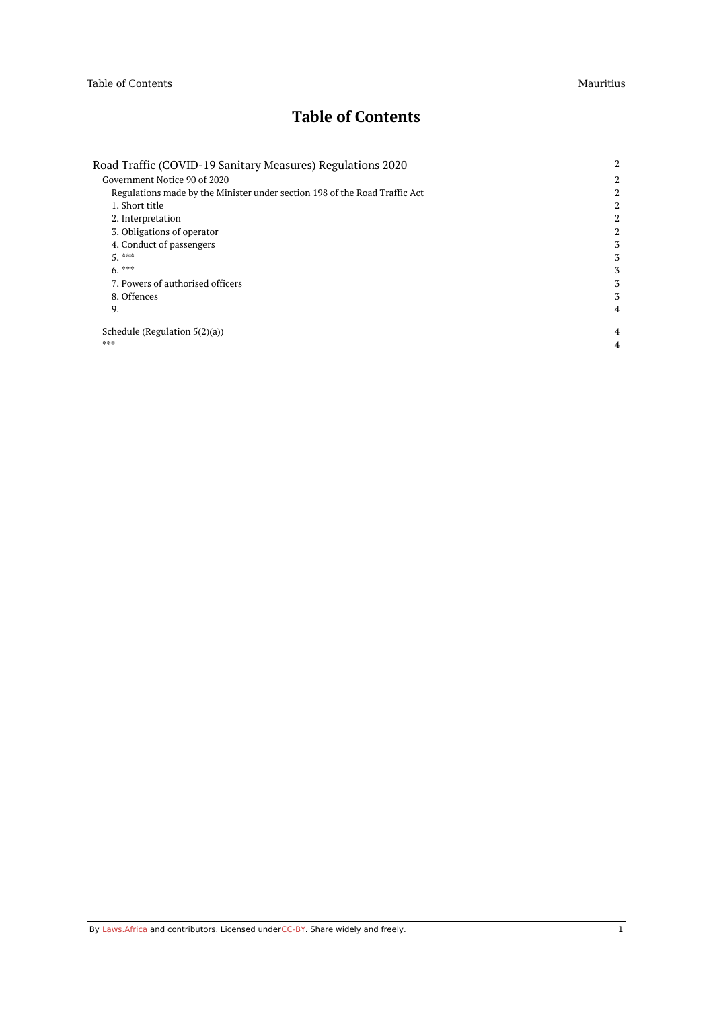# **Table of Contents**

| Road Traffic (COVID-19 Sanitary Measures) Regulations 2020                 | 2 |
|----------------------------------------------------------------------------|---|
| Government Notice 90 of 2020                                               | 2 |
| Regulations made by the Minister under section 198 of the Road Traffic Act | 2 |
| 1. Short title                                                             | 2 |
| 2. Interpretation                                                          | 2 |
| 3. Obligations of operator                                                 | 2 |
| 4. Conduct of passengers                                                   | 3 |
| $5.***$                                                                    | 3 |
| $6.***$                                                                    | 3 |
| 7. Powers of authorised officers                                           | 3 |
| 8. Offences                                                                | 3 |
| 9.                                                                         | 4 |
|                                                                            |   |
| Schedule (Regulation $5(2)(a)$ )<br>***                                    | 4 |
|                                                                            | 4 |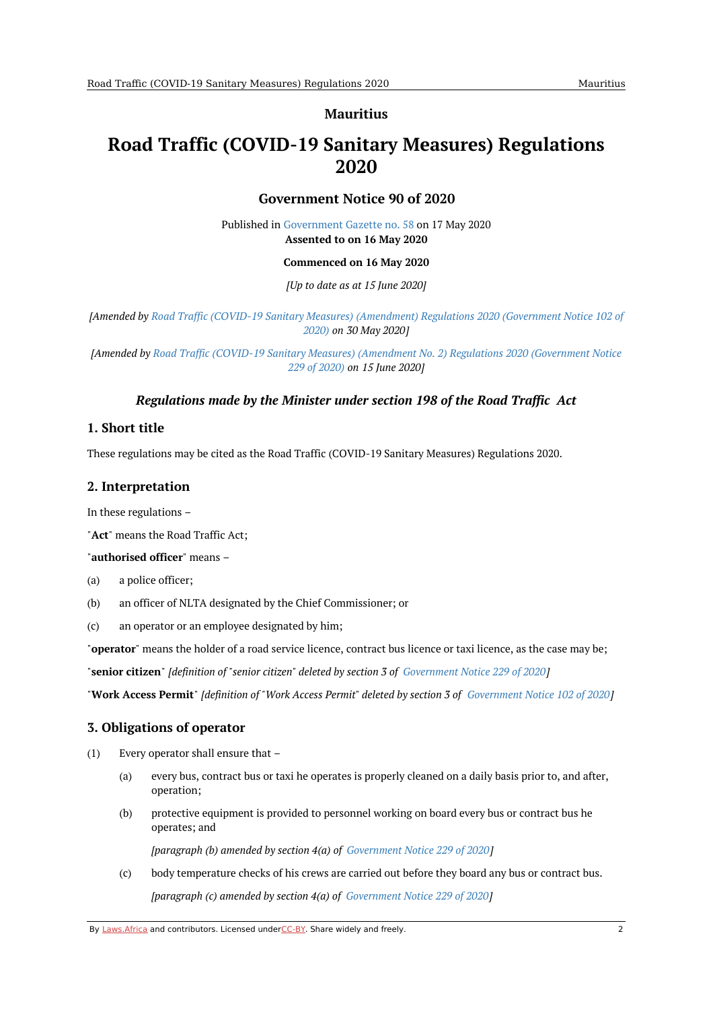## **Mauritius**

# <span id="page-1-1"></span><span id="page-1-0"></span>**Road Traffic (COVID-19 Sanitary Measures) Regulations 2020**

## **Government Notice 90 of 2020**

Published in [Government](https://commons.laws.africa/akn/mu/act/gn/2020/90/media/publication/mu-act-gn-2020-90-publication-document.pdf) Gazette no. 58 on 17 May 2020 **Assented to on 16 May 2020**

### **Commenced on 16 May 2020**

*[Up to date as at 15 June 2020]*

*[Amended by Road Traffic (COVID-19 Sanitary Measures) [\(Amendment\)](https://africanlii.org/akn/mu/act/gn/2020/102) Regulations 2020 (Government Notice 102 of 2020) on 30 May 2020]*

*[Amended by Road Traffic (COVID-19 Sanitary Measures) (Amendment No. 2) Regulations 2020 [\(Government](https://africanlii.org/akn/mu/act/gn/2020/229) Notice 229 of 2020) on 15 June 2020]*

## *Regulations made by the Minister under section 198 of the Road Traffic Act*

## <span id="page-1-3"></span><span id="page-1-2"></span>**1. Short title**

These regulations may be cited as the Road Traffic (COVID-19 Sanitary Measures) Regulations 2020.

## <span id="page-1-4"></span>**2. Interpretation**

In these regulations –

"**Act**" means the Road Traffic Act;

"**authorised officer**" means –

- (a) a police officer;
- $(h)$ an officer of NLTA designated by the Chief Commissioner; or
- (c) an operator or an employee designated by him;

"**operator**" means the holder of a road service licence, contract bus licence or taxi licence, as the case may be;

"**senior citizen**" *[definition of "senior citizen" deleted by section 3 of [Government](https://africanlii.org/akn/mu/act/gn/2020/229) Notice 229 of 2020]*

"Work Access Permit" [definition of "Work Access Permit" deleted by section 3 of [Government](https://africanlii.org/akn/mu/act/gn/2020/102) Notice 102 of 2020]

## <span id="page-1-5"></span>**3. Obligations of operator**

- (1) Every operator shall ensure that –
	- (a) every bus, contract bus or taxi he operates is properly cleaned on a daily basis prior to, and after, operation;
	- (b) protective equipment is provided to personnel working on board every bus or contract bus he operates; and

*[paragraph (b) amended by section 4(a) of [Government](https://africanlii.org/akn/mu/act/gn/2020/229) Notice 229 of 2020]*

(c) body temperature checks of his crews are carried out before they board any bus or contract bus. *[paragraph (c) amended by section 4(a) of [Government](https://africanlii.org/akn/mu/act/gn/2020/229) Notice 229 of 2020]*

By [Laws.Africa](https://edit.laws.africa/widgets/pdf-attribution) and contributors. Licensed und[erCC-B](https://edit.laws.africa/widgets/pdf-cc-by)Y. Share widely and freely. 2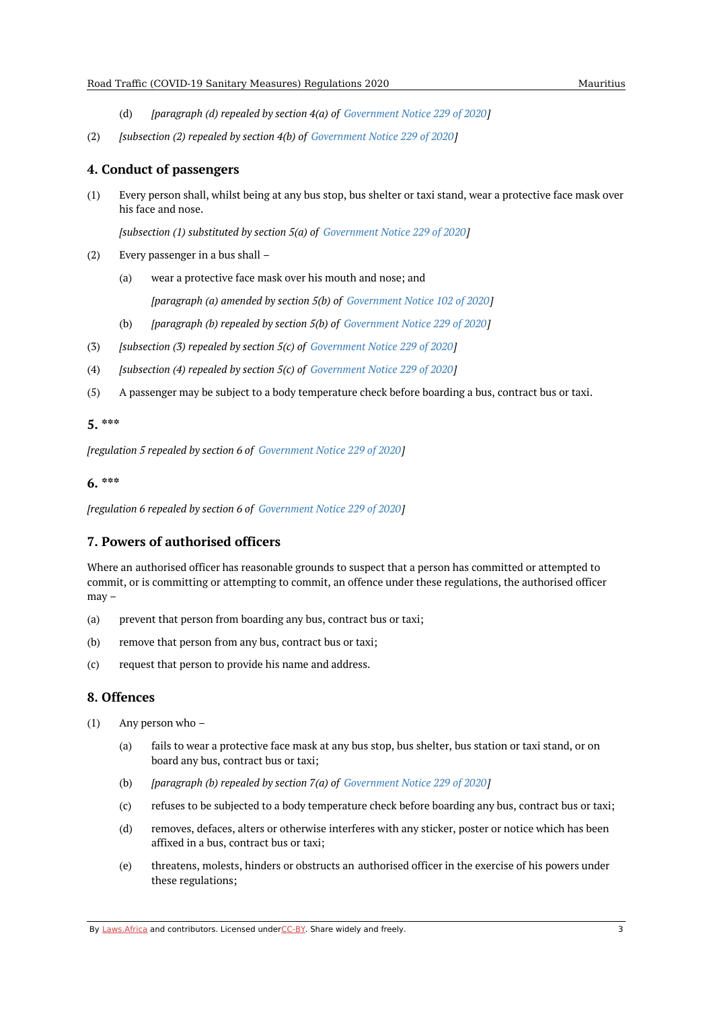- (d) *[paragraph (d) repealed by section 4(a) of [Government](https://africanlii.org/akn/mu/act/gn/2020/229) Notice 229 of 2020]*
- (2) *[subsection (2) repealed by section 4(b) of [Government](https://africanlii.org/akn/mu/act/gn/2020/229) Notice 229 of 2020]*

### <span id="page-2-0"></span>**4. Conduct of passengers**

(1) Every person shall, whilst being at any bus stop, bus shelter or taxi stand, wear a protective face mask over his face and nose.

*[subsection (1) substituted by section 5(a) of [Government](https://africanlii.org/akn/mu/act/gn/2020/229) Notice 229 of 2020]*

- (2) Every passenger in a bus shall –
	- (a) wear a protective face mask over his mouth and nose; and

*[paragraph (a) amended by section 5(b) of [Government](https://africanlii.org/akn/mu/act/gn/2020/102) Notice 102 of 2020]*

- (b) *[paragraph (b) repealed by section 5(b) of [Government](https://africanlii.org/akn/mu/act/gn/2020/229) Notice 229 of 2020]*
- (3) *[subsection (3) repealed by section 5(c) of [Government](https://africanlii.org/akn/mu/act/gn/2020/229) Notice 229 of 2020]*
- (4) *[subsection (4) repealed by section 5(c) of [Government](https://africanlii.org/akn/mu/act/gn/2020/229) Notice 229 of 2020]*
- (5) A passenger may be subject to a body temperature check before boarding a bus, contract bus or taxi.

#### <span id="page-2-1"></span>**5. \*\*\***

*[regulation 5 repealed by section 6 of [Government](https://africanlii.org/akn/mu/act/gn/2020/229) Notice 229 of 2020]*

#### <span id="page-2-2"></span>**6. \*\*\***

*[regulation 6 repealed by section 6 of [Government](https://africanlii.org/akn/mu/act/gn/2020/229) Notice 229 of 2020]*

## <span id="page-2-3"></span>**7. Powers of authorised officers**

Where an authorised officer has reasonable grounds to suspect that a person has committed or attempted to commit, or is committing or attempting to commit, an offence under these regulations, the authorised officer may –

- (a) prevent that person from boarding any bus, contract bus or taxi;
- (b) remove that person from any bus, contract bus or taxi;
- $(c)$ request that person to provide his name and address.

#### <span id="page-2-4"></span>**8. Offences**

- (1) Any person who –
	- (a) fails to wear a protective face mask at any bus stop, bus shelter, bus station or taxi stand, or on board any bus, contract bus or taxi;
	- (b) *[paragraph (b) repealed by section 7(a) of [Government](https://africanlii.org/akn/mu/act/gn/2020/229) Notice 229 of 2020]*
	- (c) refuses to be subjected to a body temperature check before boarding any bus, contract bus or taxi;
	- (d) removes, defaces, alters or otherwise interferes with any sticker, poster or notice which has been affixed in a bus, contract bus or taxi;
	- (e) threatens, molests, hinders or obstructs an authorised officer in the exercise of his powers under these regulations;

By [Laws.Africa](https://edit.laws.africa/widgets/pdf-attribution) and contributors. Licensed und[erCC-B](https://edit.laws.africa/widgets/pdf-cc-by)Y. Share widely and freely. 3